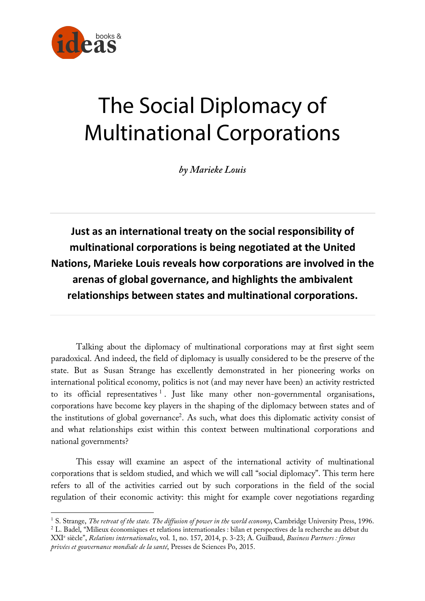

# The Social Diplomacy of Multinational Corporations

*by Marieke Louis*

**Just as an international treaty on the social responsibility of multinational corporations is being negotiated at the United Nations, Marieke Louis reveals how corporations are involved in the arenas of global governance, and highlights the ambivalent relationships between states and multinational corporations.**

Talking about the diplomacy of multinational corporations may at first sight seem paradoxical. And indeed, the field of diplomacy is usually considered to be the preserve of the state. But as Susan Strange has excellently demonstrated in her pioneering works on international political economy, politics is not (and may never have been) an activity restricted to its official representatives  $\frac{1}{1}$ . Just like many other non-governmental organisations, corporations have become key players in the shaping of the diplomacy between states and of the institutions of global governance<sup>2</sup>. As such, what does this diplomatic activity consist of and what relationships exist within this context between multinational corporations and national governments?

This essay will examine an aspect of the international activity of multinational corporations that is seldom studied, and which we will call "social diplomacy". This term here refers to all of the activities carried out by such corporations in the field of the social regulation of their economic activity: this might for example cover negotiations regarding

 $\overline{a}$ <sup>1</sup> S. Strange, *The retreat of the state. The diffusion of power in the world economy*, Cambridge University Press, 1996. <sup>2</sup> L. Badel, "Milieux économiques et relations internationales : bilan et perspectives de la recherche au début du

XXIe siècle", *Relations internationales*, vol. 1, no. 157, 2014, p. 3-23; A. Guilbaud, *Business Partners : firmes privées et gouvernance mondiale de la santé*, Presses de Sciences Po, 2015.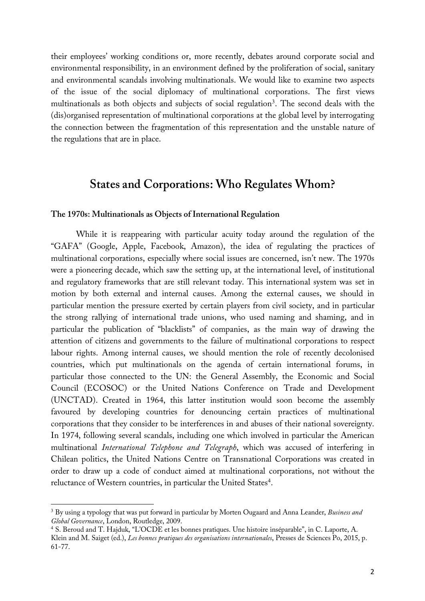their employees' working conditions or, more recently, debates around corporate social and environmental responsibility, in an environment defined by the proliferation of social, sanitary and environmental scandals involving multinationals. We would like to examine two aspects of the issue of the social diplomacy of multinational corporations. The first views multinationals as both objects and subjects of social regulation<sup>3</sup>. The second deals with the (dis)organised representation of multinational corporations at the global level by interrogating the connection between the fragmentation of this representation and the unstable nature of the regulations that are in place.

## **States and Corporations: Who Regulates Whom?**

## **The 1970s: Multinationals as Objects of International Regulation**

While it is reappearing with particular acuity today around the regulation of the "GAFA" (Google, Apple, Facebook, Amazon), the idea of regulating the practices of multinational corporations, especially where social issues are concerned, isn't new. The 1970s were a pioneering decade, which saw the setting up, at the international level, of institutional and regulatory frameworks that are still relevant today. This international system was set in motion by both external and internal causes. Among the external causes, we should in particular mention the pressure exerted by certain players from civil society, and in particular the strong rallying of international trade unions, who used naming and shaming, and in particular the publication of "blacklists" of companies, as the main way of drawing the attention of citizens and governments to the failure of multinational corporations to respect labour rights. Among internal causes, we should mention the role of recently decolonised countries, which put multinationals on the agenda of certain international forums, in particular those connected to the UN: the General Assembly, the Economic and Social Council (ECOSOC) or the United Nations Conference on Trade and Development (UNCTAD). Created in 1964, this latter institution would soon become the assembly favoured by developing countries for denouncing certain practices of multinational corporations that they consider to be interferences in and abuses of their national sovereignty. In 1974, following several scandals, including one which involved in particular the American multinational *International Telephone and Telegraph*, which was accused of interfering in Chilean politics, the United Nations Centre on Transnational Corporations was created in order to draw up a code of conduct aimed at multinational corporations, not without the reluctance of Western countries, in particular the United States<sup>4</sup>.

<sup>3</sup> By using a typology that was put forward in particular by Morten Ougaard and Anna Leander, *Business and Global Governance*, London, Routledge, 2009.

<sup>4</sup> S. Beroud and T. Hajduk, "L'OCDE et les bonnes pratiques. Une histoire inséparable", in C. Laporte, A. Klein and M. Saiget (ed.), *Les bonnes pratiques des organisations internationales*, Presses de Sciences Po, 2015, p. 61-77.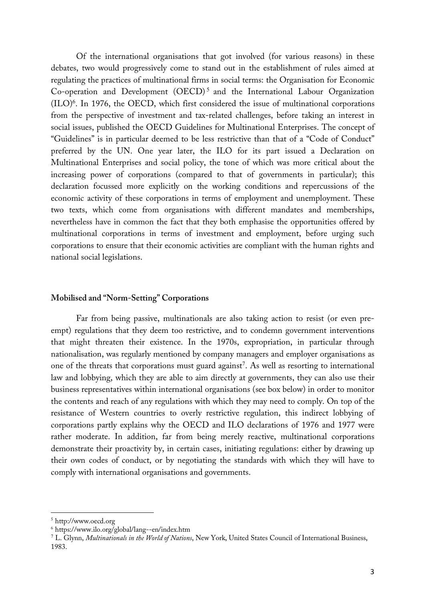Of the international organisations that got involved (for various reasons) in these debates, two would progressively come to stand out in the establishment of rules aimed at regulating the practices of multinational firms in social terms: the Organisation for Economic Co-operation and Development (OECD) <sup>5</sup> and the International Labour Organization (ILO) 6 . In 1976, the OECD, which first considered the issue of multinational corporations from the perspective of investment and tax-related challenges, before taking an interest in social issues, published the OECD Guidelines for Multinational Enterprises. The concept of "Guidelines" is in particular deemed to be less restrictive than that of a "Code of Conduct" preferred by the UN. One year later, the ILO for its part issued a Declaration on Multinational Enterprises and social policy, the tone of which was more critical about the increasing power of corporations (compared to that of governments in particular); this declaration focussed more explicitly on the working conditions and repercussions of the economic activity of these corporations in terms of employment and unemployment. These two texts, which come from organisations with different mandates and memberships, nevertheless have in common the fact that they both emphasise the opportunities offered by multinational corporations in terms of investment and employment, before urging such corporations to ensure that their economic activities are compliant with the human rights and national social legislations.

## **Mobilised and "Norm-Setting" Corporations**

Far from being passive, multinationals are also taking action to resist (or even preempt) regulations that they deem too restrictive, and to condemn government interventions that might threaten their existence. In the 1970s, expropriation, in particular through nationalisation, was regularly mentioned by company managers and employer organisations as one of the threats that corporations must guard against<sup>7</sup>. As well as resorting to international law and lobbying, which they are able to aim directly at governments, they can also use their business representatives within international organisations (see box below) in order to monitor the contents and reach of any regulations with which they may need to comply. On top of the resistance of Western countries to overly restrictive regulation, this indirect lobbying of corporations partly explains why the OECD and ILO declarations of 1976 and 1977 were rather moderate. In addition, far from being merely reactive, multinational corporations demonstrate their proactivity by, in certain cases, initiating regulations: either by drawing up their own codes of conduct, or by negotiating the standards with which they will have to comply with international organisations and governments.

<sup>5</sup> http://www.oecd.org

<sup>6</sup> https://www.ilo.org/global/lang--en/index.htm

<sup>7</sup> L. Glynn, *Multinationals in the World of Nations*, New York, United States Council of International Business, 1983.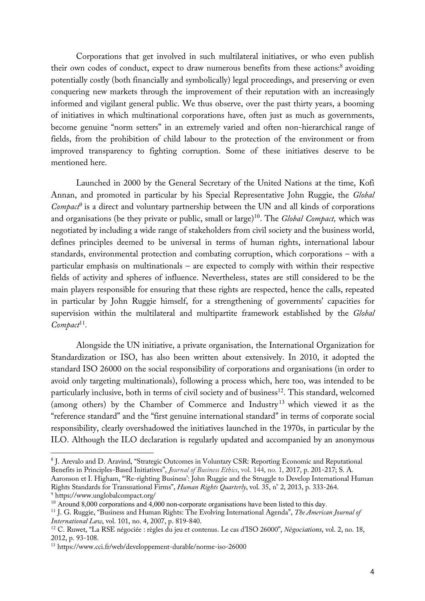Corporations that get involved in such multilateral initiatives, or who even publish their own codes of conduct, expect to draw numerous benefits from these actions:<sup>8</sup> avoiding potentially costly (both financially and symbolically) legal proceedings, and preserving or even conquering new markets through the improvement of their reputation with an increasingly informed and vigilant general public. We thus observe, over the past thirty years, a booming of initiatives in which multinational corporations have, often just as much as governments, become genuine "norm setters" in an extremely varied and often non-hierarchical range of fields, from the prohibition of child labour to the protection of the environment or from improved transparency to fighting corruption. Some of these initiatives deserve to be mentioned here.

Launched in 2000 by the General Secretary of the United Nations at the time, Kofi Annan, and promoted in particular by his Special Representative John Ruggie, the *Global Compact*<sup>9</sup> is a direct and voluntary partnership between the UN and all kinds of corporations and organisations (be they private or public, small or large)<sup>10</sup>. The *Global Compact*, which was negotiated by including a wide range of stakeholders from civil society and the business world, defines principles deemed to be universal in terms of human rights, international labour standards, environmental protection and combating corruption, which corporations – with a particular emphasis on multinationals – are expected to comply with within their respective fields of activity and spheres of influence. Nevertheless, states are still considered to be the main players responsible for ensuring that these rights are respected, hence the calls, repeated in particular by John Ruggie himself, for a strengthening of governments' capacities for supervision within the multilateral and multipartite framework established by the *Global Compact*<sup>11</sup>*.*

Alongside the UN initiative, a private organisation, the International Organization for Standardization or ISO, has also been written about extensively. In 2010, it adopted the standard ISO 26000 on the social responsibility of corporations and organisations (in order to avoid only targeting multinationals), following a process which, here too, was intended to be particularly inclusive, both in terms of civil society and of business<sup>12</sup>. This standard, welcomed (among others) by the Chamber of Commerce and Industry <sup>13</sup> which viewed it as the "reference standard" and the "first genuine international standard" in terms of corporate social responsibility, clearly overshadowed the initiatives launched in the 1970s, in particular by the ILO. Although the ILO declaration is regularly updated and accompanied by an anonymous

<sup>&</sup>lt;sup>8</sup> J. Arevalo and D. Aravind, "Strategic Outcomes in Voluntary CSR: Reporting Economic and Reputational Benefits in Principles-Based Initiatives", *Journal of Business Ethics*, vol. 144, no. 1, 2017, p. 201-217; S. A. Aaronson et I. Higham, "'Re-righting Business': John Ruggie and the Struggle to Develop International Human

Rights Standards for Transnational Firms", *Human Rights Quarterly*, vol. 35, n° 2, 2013, p. 333-264. <sup>9</sup> https://www.unglobalcompact.org/

<sup>&</sup>lt;sup>10</sup> Around 8,000 corporations and  $\frac{3}{4}$ ,000 non-corporate organisations have been listed to this day.

<sup>11</sup> J. G. Ruggie, "Business and Human Rights: The Evolving International Agenda", *The American Journal of International Law*, vol. 101, no. 4, 2007, p. 819-840.

<sup>12</sup> C. Ruwet, "La RSE négociée : règles du jeu et contenus. Le cas d'ISO 26000", *Négociations*, vol. 2, no. 18, 2012, p. 93-108.

<sup>13</sup> https://www.cci.fr/web/developpement-durable/norme-iso-26000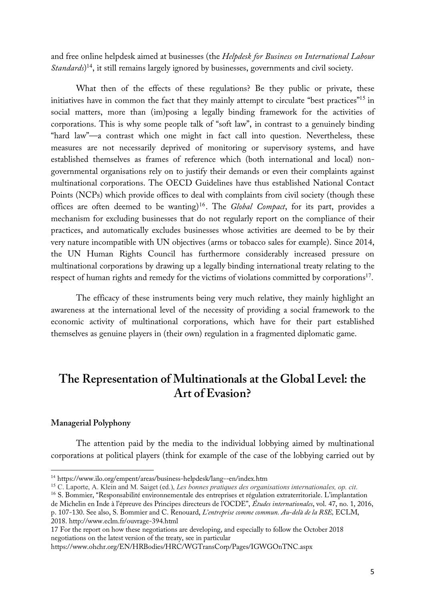and free online helpdesk aimed at businesses (the *Helpdesk for Business on International Labour Standards*) <sup>14</sup>, it still remains largely ignored by businesses, governments and civil society.

What then of the effects of these regulations? Be they public or private, these initiatives have in common the fact that they mainly attempt to circulate "best practices"<sup>15</sup> in social matters, more than (im)posing a legally binding framework for the activities of corporations. This is why some people talk of "soft law", in contrast to a genuinely binding "hard law"—a contrast which one might in fact call into question. Nevertheless, these measures are not necessarily deprived of monitoring or supervisory systems, and have established themselves as frames of reference which (both international and local) nongovernmental organisations rely on to justify their demands or even their complaints against multinational corporations. The OECD Guidelines have thus established National Contact Points (NCPs) which provide offices to deal with complaints from civil society (though these offices are often deemed to be wanting)<sup>16</sup>. The *Global Compact*, for its part, provides a mechanism for excluding businesses that do not regularly report on the compliance of their practices, and automatically excludes businesses whose activities are deemed to be by their very nature incompatible with UN objectives (arms or tobacco sales for example). Since 2014, the UN Human Rights Council has furthermore considerably increased pressure on multinational corporations by drawing up a legally binding international treaty relating to the respect of human rights and remedy for the victims of violations committed by corporations<sup>17</sup>.

The efficacy of these instruments being very much relative, they mainly highlight an awareness at the international level of the necessity of providing a social framework to the economic activity of multinational corporations, which have for their part established themselves as genuine players in (their own) regulation in a fragmented diplomatic game.

## **The Representation of Multinationals at the Global Level: the Art of Evasion?**

## **Managerial Polyphony**

 $\overline{a}$ 

The attention paid by the media to the individual lobbying aimed by multinational corporations at political players (think for example of the case of the lobbying carried out by

<sup>14</sup> https://www.ilo.org/empent/areas/business-helpdesk/lang--en/index.htm

<sup>15</sup> C. Laporte, A. Klein and M. Saiget (ed.), *Les bonnes pratiques des organisations internationales, op. cit*.

<sup>&</sup>lt;sup>16</sup> S. Bommier, "Responsabilité environnementale des entreprises et régulation extraterritoriale. L'implantation

de Michelin en Inde à l'épreuve des Principes directeurs de l'OCDE", *Études internationales*, vol. 47, no. 1, 2016, p. 107-130. See also, S. Bommier and C. Renouard, *L'entreprise comme commun. Au-delà de la RSE,* ECLM, 2018. http://www.eclm.fr/ouvrage-394.html

<sup>17</sup> For the report on how these negotiations are developing, and especially to follow the October 2018 negotiations on the latest version of the treaty, see in particular

https://www.ohchr.org/EN/HRBodies/HRC/WGTransCorp/Pages/IGWGOnTNC.aspx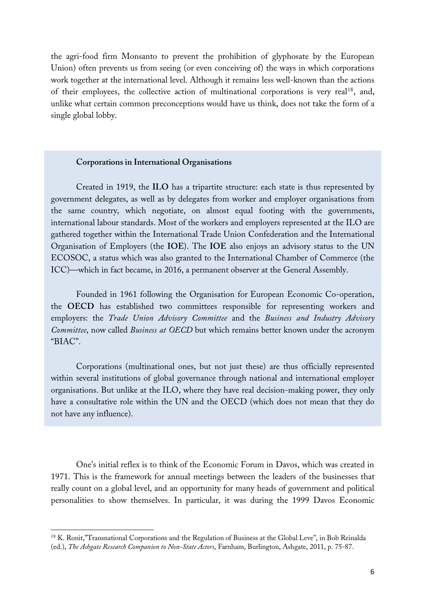the agri-food firm Monsanto to prevent the prohibition of glyphosate by the European Union) often prevents us from seeing (or even conceiving of) the ways in which corporations work together at the international level. Although it remains less well-known than the actions of their employees, the collective action of multinational corporations is very real<sup>18</sup>, and, unlike what certain common preconceptions would have us think, does not take the form of a single global lobby.

## **Corporations in International Organisations**

Created in 1919, the **ILO** has a tripartite structure: each state is thus represented by government delegates, as well as by delegates from worker and employer organisations from the same country, which negotiate, on almost equal footing with the governments, international labour standards. Most of the workers and employers represented at the ILO are gathered together within the International Trade Union Confederation and the International Organisation of Employers (the **IOE**). The **IOE** also enjoys an advisory status to the UN ECOSOC, a status which was also granted to the International Chamber of Commerce (the ICC)—which in fact became, in 2016, a permanent observer at the General Assembly.

Founded in 1961 following the Organisation for European Economic Co-operation, the **OECD** has established two committees responsible for representing workers and employers: the *Trade Union Advisory Committee* and the *Business and Industry Advisory Committee*, now called *Business at OECD* but which remains better known under the acronym "BIAC".

Corporations (multinational ones, but not just these) are thus officially represented within several institutions of global governance through national and international employer organisations. But unlike at the ILO, where they have real decision-making power, they only have a consultative role within the UN and the OECD (which does not mean that they do not have any influence).

One's initial reflex is to think of the Economic Forum in Davos, which was created in 1971. This is the framework for annual meetings between the leaders of the businesses that really count on a global level, and an opportunity for many heads of government and political personalities to show themselves. In particular, it was during the 1999 Davos Economic

<sup>&</sup>lt;sup>18</sup> K. Ronit,"Transnational Corporations and the Regulation of Business at the Global Leve", in Bob Reinalda (ed.), *The Ashgate Research Companion to Non-State Actors*, Farnham, Burlington, Ashgate, 2011, p. 75-87.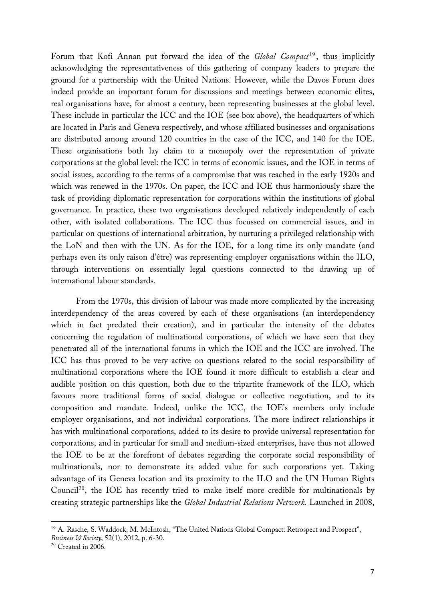Forum that Kofi Annan put forward the idea of the *Global Compact*<sup>19</sup>, thus implicitly acknowledging the representativeness of this gathering of company leaders to prepare the ground for a partnership with the United Nations. However, while the Davos Forum does indeed provide an important forum for discussions and meetings between economic elites, real organisations have, for almost a century, been representing businesses at the global level. These include in particular the ICC and the IOE (see box above), the headquarters of which are located in Paris and Geneva respectively, and whose affiliated businesses and organisations are distributed among around 120 countries in the case of the ICC, and 140 for the IOE. These organisations both lay claim to a monopoly over the representation of private corporations at the global level: the ICC in terms of economic issues, and the IOE in terms of social issues, according to the terms of a compromise that was reached in the early 1920s and which was renewed in the 1970s. On paper, the ICC and IOE thus harmoniously share the task of providing diplomatic representation for corporations within the institutions of global governance. In practice, these two organisations developed relatively independently of each other, with isolated collaborations. The ICC thus focussed on commercial issues, and in particular on questions of international arbitration, by nurturing a privileged relationship with the LoN and then with the UN. As for the IOE, for a long time its only mandate (and perhaps even its only raison d'être) was representing employer organisations within the ILO, through interventions on essentially legal questions connected to the drawing up of international labour standards.

From the 1970s, this division of labour was made more complicated by the increasing interdependency of the areas covered by each of these organisations (an interdependency which in fact predated their creation), and in particular the intensity of the debates concerning the regulation of multinational corporations, of which we have seen that they penetrated all of the international forums in which the IOE and the ICC are involved. The ICC has thus proved to be very active on questions related to the social responsibility of multinational corporations where the IOE found it more difficult to establish a clear and audible position on this question, both due to the tripartite framework of the ILO, which favours more traditional forms of social dialogue or collective negotiation, and to its composition and mandate. Indeed, unlike the ICC, the IOE's members only include employer organisations, and not individual corporations. The more indirect relationships it has with multinational corporations, added to its desire to provide universal representation for corporations, and in particular for small and medium-sized enterprises, have thus not allowed the IOE to be at the forefront of debates regarding the corporate social responsibility of multinationals, nor to demonstrate its added value for such corporations yet. Taking advantage of its Geneva location and its proximity to the ILO and the UN Human Rights Council<sup>20</sup>, the IOE has recently tried to make itself more credible for multinationals by creating strategic partnerships like the *Global Industrial Relations Network.* Launched in 2008,

<sup>&</sup>lt;sup>19</sup> A. Rasche, S. Waddock, M. McIntosh, "The United Nations Global Compact: Retrospect and Prospect", *Business & Society*, 52(1), 2012, p. 6-30.

 $20$  Created in 2006.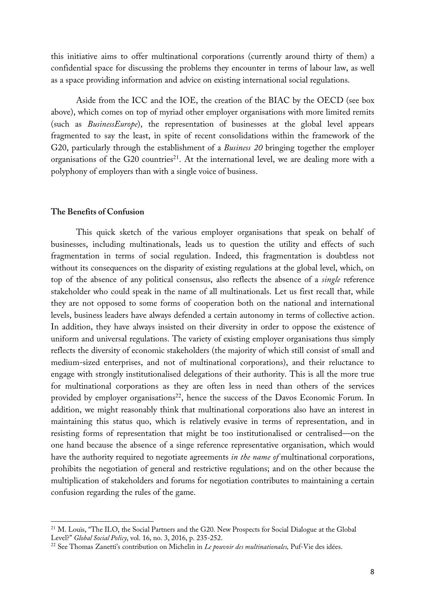this initiative aims to offer multinational corporations (currently around thirty of them) a confidential space for discussing the problems they encounter in terms of labour law, as well as a space providing information and advice on existing international social regulations.

Aside from the ICC and the IOE, the creation of the BIAC by the OECD (see box above), which comes on top of myriad other employer organisations with more limited remits (such as *BusinessEurope*), the representation of businesses at the global level appears fragmented to say the least, in spite of recent consolidations within the framework of the G20, particularly through the establishment of a *Business 20* bringing together the employer organisations of the G20 countries<sup>21</sup>. At the international level, we are dealing more with a polyphony of employers than with a single voice of business.

## **The Benefits of Confusion**

 $\overline{a}$ 

This quick sketch of the various employer organisations that speak on behalf of businesses, including multinationals, leads us to question the utility and effects of such fragmentation in terms of social regulation. Indeed, this fragmentation is doubtless not without its consequences on the disparity of existing regulations at the global level, which, on top of the absence of any political consensus, also reflects the absence of a *single* reference stakeholder who could speak in the name of all multinationals. Let us first recall that, while they are not opposed to some forms of cooperation both on the national and international levels, business leaders have always defended a certain autonomy in terms of collective action. In addition, they have always insisted on their diversity in order to oppose the existence of uniform and universal regulations. The variety of existing employer organisations thus simply reflects the diversity of economic stakeholders (the majority of which still consist of small and medium-sized enterprises, and not of multinational corporations), and their reluctance to engage with strongly institutionalised delegations of their authority. This is all the more true for multinational corporations as they are often less in need than others of the services provided by employer organisations<sup>22</sup>, hence the success of the Davos Economic Forum. In addition, we might reasonably think that multinational corporations also have an interest in maintaining this status quo, which is relatively evasive in terms of representation, and in resisting forms of representation that might be too institutionalised or centralised—on the one hand because the absence of a singe reference representative organisation, which would have the authority required to negotiate agreements *in the name of* multinational corporations, prohibits the negotiation of general and restrictive regulations; and on the other because the multiplication of stakeholders and forums for negotiation contributes to maintaining a certain confusion regarding the rules of the game.

<sup>&</sup>lt;sup>21</sup> M. Louis, "The ILO, the Social Partners and the G20. New Prospects for Social Dialogue at the Global Level?" *Global Social Policy*, vol. 16, no. 3, 2016, p. 235-252.

<sup>22</sup> See Thomas Zanetti's contribution on Michelin in *Le pouvoir des multinationales,* Puf-Vie des idées.